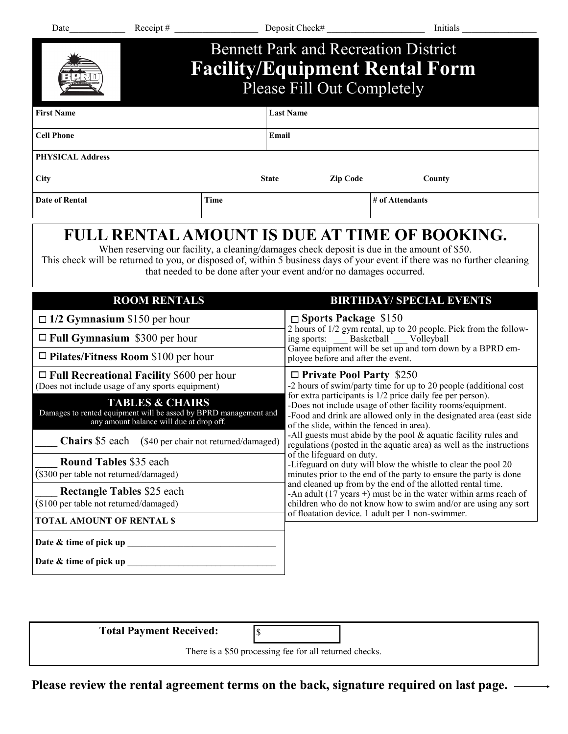| Date                                                                                                                                                                                                                                                                                                               | Receipt # $\qquad \qquad$        |                                                                                                                                                                                                                                                                                                                                                                                                                                                                                                  | Deposit Check#                                                                                                                                                                                                                                  | Initials                                                                                                                                                                                                                                                    |
|--------------------------------------------------------------------------------------------------------------------------------------------------------------------------------------------------------------------------------------------------------------------------------------------------------------------|----------------------------------|--------------------------------------------------------------------------------------------------------------------------------------------------------------------------------------------------------------------------------------------------------------------------------------------------------------------------------------------------------------------------------------------------------------------------------------------------------------------------------------------------|-------------------------------------------------------------------------------------------------------------------------------------------------------------------------------------------------------------------------------------------------|-------------------------------------------------------------------------------------------------------------------------------------------------------------------------------------------------------------------------------------------------------------|
|                                                                                                                                                                                                                                                                                                                    |                                  |                                                                                                                                                                                                                                                                                                                                                                                                                                                                                                  | <b>Bennett Park and Recreation District</b><br>Please Fill Out Completely                                                                                                                                                                       | <b>Facility/Equipment Rental Form</b>                                                                                                                                                                                                                       |
| <b>First Name</b>                                                                                                                                                                                                                                                                                                  |                                  | <b>Last Name</b>                                                                                                                                                                                                                                                                                                                                                                                                                                                                                 |                                                                                                                                                                                                                                                 |                                                                                                                                                                                                                                                             |
| Cell Phone                                                                                                                                                                                                                                                                                                         |                                  |                                                                                                                                                                                                                                                                                                                                                                                                                                                                                                  | Email                                                                                                                                                                                                                                           |                                                                                                                                                                                                                                                             |
| <b>PHYSICAL Address</b>                                                                                                                                                                                                                                                                                            |                                  |                                                                                                                                                                                                                                                                                                                                                                                                                                                                                                  |                                                                                                                                                                                                                                                 |                                                                                                                                                                                                                                                             |
| <b>City</b>                                                                                                                                                                                                                                                                                                        |                                  | <b>State</b>                                                                                                                                                                                                                                                                                                                                                                                                                                                                                     | Zip Code                                                                                                                                                                                                                                        | County                                                                                                                                                                                                                                                      |
| <b>Date of Rental</b>                                                                                                                                                                                                                                                                                              |                                  | <b>Time</b>                                                                                                                                                                                                                                                                                                                                                                                                                                                                                      |                                                                                                                                                                                                                                                 | # of Attendants                                                                                                                                                                                                                                             |
|                                                                                                                                                                                                                                                                                                                    | <b>ROOM RENTALS</b>              |                                                                                                                                                                                                                                                                                                                                                                                                                                                                                                  | that needed to be done after your event and/or no damages occurred.                                                                                                                                                                             | When reserving our facility, a cleaning/damages check deposit is due in the amount of \$50.<br>This check will be returned to you, or disposed of, within 5 business days of your event if there was no further cleaning<br><b>BIRTHDAY/ SPECIAL EVENTS</b> |
| $\Box$ 1/2 Gymnasium \$150 per hour<br>$\Box$ Full Gymnasium \$300 per hour<br>$\Box$ Pilates/Fitness Room \$100 per hour                                                                                                                                                                                          |                                  |                                                                                                                                                                                                                                                                                                                                                                                                                                                                                                  | $\Box$ Sports Package \$150<br>2 hours of 1/2 gym rental, up to 20 people. Pick from the following sports: _____ Basketball _____ Volleyball<br>Game equipment will be set up and torn down by a BPRD em-<br>ployee before and after the event. |                                                                                                                                                                                                                                                             |
| $\Box$ Full Recreational Facility \$600 per hour<br>(Does not include usage of any sports equipment)<br><b>TABLES &amp; CHAIRS</b><br>Damages to rented equipment will be assed by BPRD management and<br>any amount balance will due at drop off.<br><b>Chairs</b> \$5 each (\$40 per chair not returned/damaged) |                                  | $\Box$ Private Pool Party \$250<br>-2 hours of swim/party time for up to 20 people (additional cost<br>for extra participants is 1/2 price daily fee per person).<br>-Does not include usage of other facility rooms/equipment.<br>-Food and drink are allowed only in the designated area (east side<br>of the slide, within the fenced in area).<br>-All guests must abide by the pool $\&$ aquatic facility rules and<br>regulations (posted in the aquatic area) as well as the instructions |                                                                                                                                                                                                                                                 |                                                                                                                                                                                                                                                             |
| <b>Round Tables \$35 each</b><br>(\$300 per table not returned/damaged)                                                                                                                                                                                                                                            |                                  |                                                                                                                                                                                                                                                                                                                                                                                                                                                                                                  | of the lifeguard on duty.<br>-Lifeguard on duty will blow the whistle to clear the pool 20<br>minutes prior to the end of the party to ensure the party is done<br>and cleaned up from by the end of the allotted rental time.                  |                                                                                                                                                                                                                                                             |
| <b>Rectangle Tables \$25 each</b><br>(\$100 per table not returned/damaged)                                                                                                                                                                                                                                        |                                  | -An adult (17 years +) must be in the water within arms reach of<br>children who do not know how to swim and/or are using any sort<br>of floatation device. 1 adult per 1 non-swimmer.                                                                                                                                                                                                                                                                                                           |                                                                                                                                                                                                                                                 |                                                                                                                                                                                                                                                             |
|                                                                                                                                                                                                                                                                                                                    | <b>TOTAL AMOUNT OF RENTAL \$</b> |                                                                                                                                                                                                                                                                                                                                                                                                                                                                                                  |                                                                                                                                                                                                                                                 |                                                                                                                                                                                                                                                             |
| Date & time of pick up                                                                                                                                                                                                                                                                                             |                                  |                                                                                                                                                                                                                                                                                                                                                                                                                                                                                                  |                                                                                                                                                                                                                                                 |                                                                                                                                                                                                                                                             |

| <b>Total Payment Received:</b>                          |  |  |  |  |  |
|---------------------------------------------------------|--|--|--|--|--|
| There is a \$50 processing fee for all returned checks. |  |  |  |  |  |

**Please review the rental agreement terms on the back, signature required on last page.**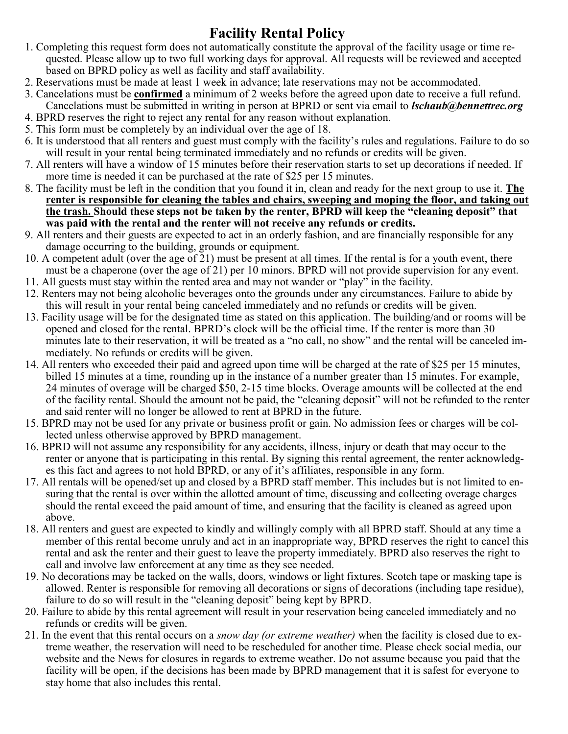## **Facility Rental Policy**

- 1. Completing this request form does not automatically constitute the approval of the facility usage or time requested. Please allow up to two full working days for approval. All requests will be reviewed and accepted based on BPRD policy as well as facility and staff availability.
- 2. Reservations must be made at least 1 week in advance; late reservations may not be accommodated.
- 3. Cancelations must be **confirmed** a minimum of 2 weeks before the agreed upon date to receive a full refund. Cancelations must be submitted in writing in person at BPRD or sent via email to *lschaub@bennettrec.org*
- 4. BPRD reserves the right to reject any rental for any reason without explanation.
- 5. This form must be completely by an individual over the age of 18.
- 6. It is understood that all renters and guest must comply with the facility's rules and regulations. Failure to do so will result in your rental being terminated immediately and no refunds or credits will be given.
- 7. All renters will have a window of 15 minutes before their reservation starts to set up decorations if needed. If more time is needed it can be purchased at the rate of \$25 per 15 minutes.
- 8. The facility must be left in the condition that you found it in, clean and ready for the next group to use it. **The renter is responsible for cleaning the tables and chairs, sweeping and moping the floor, and taking out the trash. Should these steps not be taken by the renter, BPRD will keep the "cleaning deposit" that was paid with the rental and the renter will not receive any refunds or credits.**
- 9. All renters and their guests are expected to act in an orderly fashion, and are financially responsible for any damage occurring to the building, grounds or equipment.
- 10. A competent adult (over the age of 21) must be present at all times. If the rental is for a youth event, there must be a chaperone (over the age of 21) per 10 minors. BPRD will not provide supervision for any event.
- 11. All guests must stay within the rented area and may not wander or "play" in the facility.
- 12. Renters may not being alcoholic beverages onto the grounds under any circumstances. Failure to abide by this will result in your rental being canceled immediately and no refunds or credits will be given.
- 13. Facility usage will be for the designated time as stated on this application. The building/and or rooms will be opened and closed for the rental. BPRD's clock will be the official time. If the renter is more than 30 minutes late to their reservation, it will be treated as a "no call, no show" and the rental will be canceled immediately. No refunds or credits will be given.
- 14. All renters who exceeded their paid and agreed upon time will be charged at the rate of \$25 per 15 minutes, billed 15 minutes at a time, rounding up in the instance of a number greater than 15 minutes. For example, 24 minutes of overage will be charged \$50, 2-15 time blocks. Overage amounts will be collected at the end of the facility rental. Should the amount not be paid, the "cleaning deposit" will not be refunded to the renter and said renter will no longer be allowed to rent at BPRD in the future.
- 15. BPRD may not be used for any private or business profit or gain. No admission fees or charges will be collected unless otherwise approved by BPRD management.
- 16. BPRD will not assume any responsibility for any accidents, illness, injury or death that may occur to the renter or anyone that is participating in this rental. By signing this rental agreement, the renter acknowledges this fact and agrees to not hold BPRD, or any of it's affiliates, responsible in any form.
- 17. All rentals will be opened/set up and closed by a BPRD staff member. This includes but is not limited to ensuring that the rental is over within the allotted amount of time, discussing and collecting overage charges should the rental exceed the paid amount of time, and ensuring that the facility is cleaned as agreed upon above.
- 18. All renters and guest are expected to kindly and willingly comply with all BPRD staff. Should at any time a member of this rental become unruly and act in an inappropriate way, BPRD reserves the right to cancel this rental and ask the renter and their guest to leave the property immediately. BPRD also reserves the right to call and involve law enforcement at any time as they see needed.
- 19. No decorations may be tacked on the walls, doors, windows or light fixtures. Scotch tape or masking tape is allowed. Renter is responsible for removing all decorations or signs of decorations (including tape residue), failure to do so will result in the "cleaning deposit" being kept by BPRD.
- 20. Failure to abide by this rental agreement will result in your reservation being canceled immediately and no refunds or credits will be given.
- 21. In the event that this rental occurs on a *snow day (or extreme weather)* when the facility is closed due to extreme weather, the reservation will need to be rescheduled for another time. Please check social media, our website and the News for closures in regards to extreme weather. Do not assume because you paid that the facility will be open, if the decisions has been made by BPRD management that it is safest for everyone to stay home that also includes this rental.